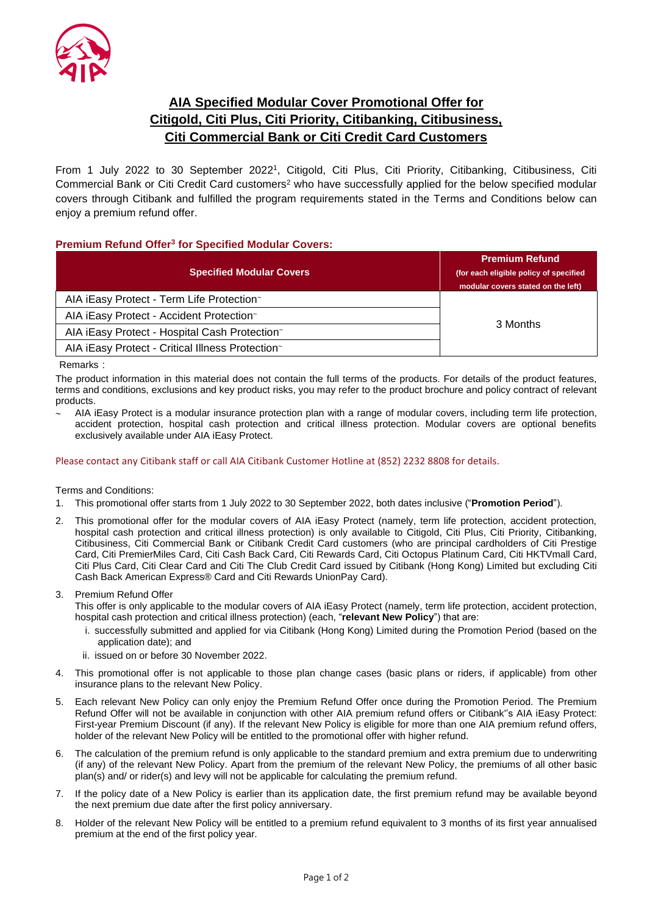

## **AIA Specified Modular Cover Promotional Offer for Citigold, Citi Plus, Citi Priority, Citibanking, Citibusiness, Citi Commercial Bank or Citi Credit Card Customers**

From 1 July 2022 to 30 September 2022<sup>1</sup>, Citigold, Citi Plus, Citi Priority, Citibanking, Citibusiness, Citi Commercial Bank or Citi Credit Card customers<sup>2</sup> who have successfully applied for the below specified modular covers through Citibank and fulfilled the program requirements stated in the Terms and Conditions below can enjoy a premium refund offer.

## **Premium Refund Offer<sup>3</sup> for Specified Modular Covers:**

| <b>Specified Modular Covers</b>                  | <b>Premium Refund</b><br>(for each eligible policy of specified<br>modular covers stated on the left) |
|--------------------------------------------------|-------------------------------------------------------------------------------------------------------|
| AIA iEasy Protect - Term Life Protection~        | 3 Months                                                                                              |
| AIA iEasy Protect - Accident Protection~         |                                                                                                       |
| AIA iEasy Protect - Hospital Cash Protection~    |                                                                                                       |
| AIA iEasy Protect - Critical Illness Protection~ |                                                                                                       |

Remarks:

The product information in this material does not contain the full terms of the products. For details of the product features, terms and conditions, exclusions and key product risks, you may refer to the product brochure and policy contract of relevant products.

 AIA iEasy Protect is a modular insurance protection plan with a range of modular covers, including term life protection, accident protection, hospital cash protection and critical illness protection. Modular covers are optional benefits exclusively available under AIA iEasy Protect.

## Please contact any Citibank staff or call AIA Citibank Customer Hotline at (852) 2232 8808 for details.

Terms and Conditions:

- 1. This promotional offer starts from 1 July 2022 to 30 September 2022, both dates inclusive ("**Promotion Period**").
- 2. This promotional offer for the modular covers of AIA iEasy Protect (namely, term life protection, accident protection, hospital cash protection and critical illness protection) is only available to Citigold, Citi Plus, Citi Priority, Citibanking, Citibusiness, Citi Commercial Bank or Citibank Credit Card customers (who are principal cardholders of Citi Prestige Card, Citi PremierMiles Card, Citi Cash Back Card, Citi Rewards Card, Citi Octopus Platinum Card, Citi HKTVmall Card, Citi Plus Card, Citi Clear Card and Citi The Club Credit Card issued by Citibank (Hong Kong) Limited but excluding Citi Cash Back American Express® Card and Citi Rewards UnionPay Card).

3. Premium Refund Offer

This offer is only applicable to the modular covers of AIA iEasy Protect (namely, term life protection, accident protection, hospital cash protection and critical illness protection) (each, "**relevant New Policy**") that are:

- i. successfully submitted and applied for via Citibank (Hong Kong) Limited during the Promotion Period (based on the application date); and
- ii. issued on or before 30 November 2022.
- 4. This promotional offer is not applicable to those plan change cases (basic plans or riders, if applicable) from other insurance plans to the relevant New Policy.
- 5. Each relevant New Policy can only enjoy the Premium Refund Offer once during the Promotion Period. The Premium Refund Offer will not be available in conjunction with other AIA premium refund offers or Citibank''s AIA iEasy Protect: First-year Premium Discount (if any). If the relevant New Policy is eligible for more than one AIA premium refund offers, holder of the relevant New Policy will be entitled to the promotional offer with higher refund.
- 6. The calculation of the premium refund is only applicable to the standard premium and extra premium due to underwriting (if any) of the relevant New Policy. Apart from the premium of the relevant New Policy, the premiums of all other basic plan(s) and/ or rider(s) and levy will not be applicable for calculating the premium refund.
- 7. If the policy date of a New Policy is earlier than its application date, the first premium refund may be available beyond the next premium due date after the first policy anniversary.
- 8. Holder of the relevant New Policy will be entitled to a premium refund equivalent to 3 months of its first year annualised premium at the end of the first policy year.